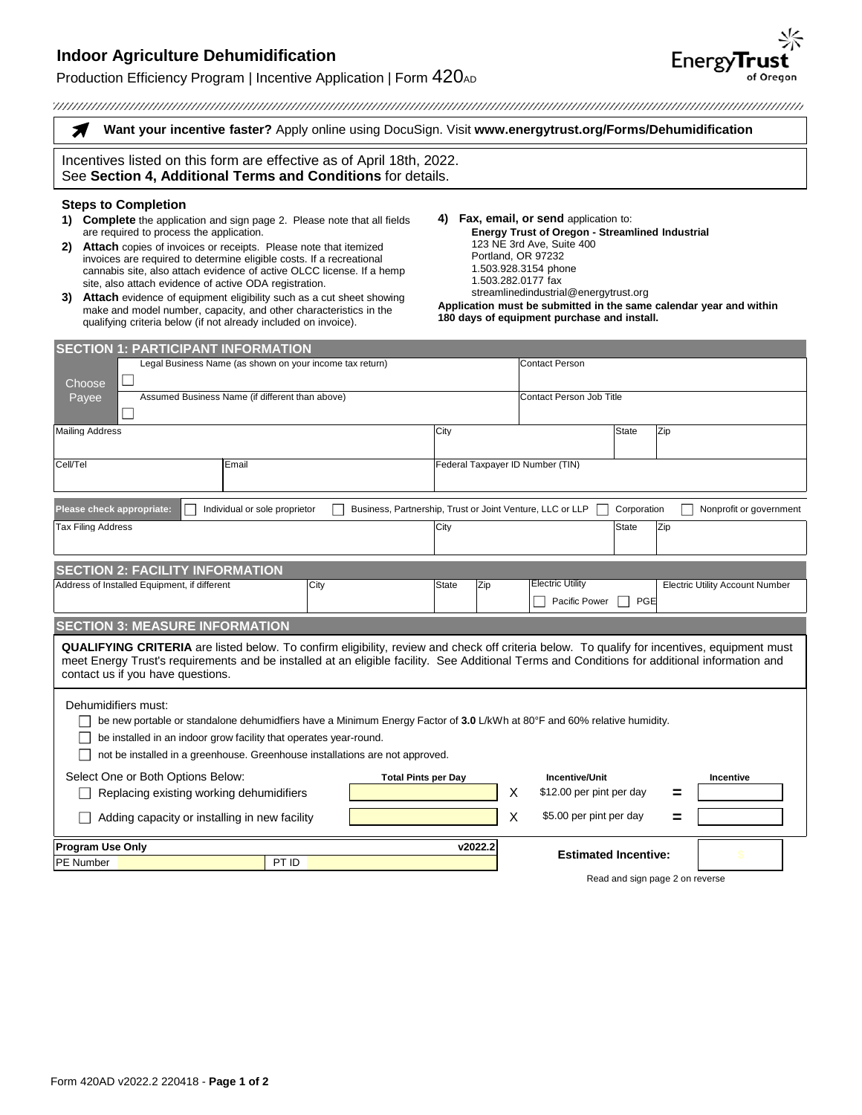## **Indoor Agriculture Dehumidification**

## Production Efficiency Program | Incentive Application | Form  $420$ AD

| Want your incentive faster? Apply online using DocuSign. Visit www.energytrust.org/Forms/Dehumidification                                                                                                                                                                                                                                                                                                                                                                                                                                                                                                                                                         |       |                                                                                                                                                                                                                                                                                                                                                                 |                                                 |                                        |  |
|-------------------------------------------------------------------------------------------------------------------------------------------------------------------------------------------------------------------------------------------------------------------------------------------------------------------------------------------------------------------------------------------------------------------------------------------------------------------------------------------------------------------------------------------------------------------------------------------------------------------------------------------------------------------|-------|-----------------------------------------------------------------------------------------------------------------------------------------------------------------------------------------------------------------------------------------------------------------------------------------------------------------------------------------------------------------|-------------------------------------------------|----------------------------------------|--|
| Incentives listed on this form are effective as of April 18th, 2022.<br>See Section 4, Additional Terms and Conditions for details.                                                                                                                                                                                                                                                                                                                                                                                                                                                                                                                               |       |                                                                                                                                                                                                                                                                                                                                                                 |                                                 |                                        |  |
| <b>Steps to Completion</b><br><b>Complete</b> the application and sign page 2. Please note that all fields<br>are required to process the application.<br>Attach copies of invoices or receipts. Please note that itemized<br>2)<br>invoices are required to determine eligible costs. If a recreational<br>cannabis site, also attach evidence of active OLCC license. If a hemp<br>site, also attach evidence of active ODA registration.<br>Attach evidence of equipment eligibility such as a cut sheet showing<br>3)<br>make and model number, capacity, and other characteristics in the<br>qualifying criteria below (if not already included on invoice). |       | 4) Fax, email, or send application to:<br><b>Energy Trust of Oregon - Streamlined Industrial</b><br>123 NE 3rd Ave, Suite 400<br>Portland, OR 97232<br>1.503.928.3154 phone<br>1.503.282.0177 fax<br>streamlinedindustrial@energytrust.org<br>Application must be submitted in the same calendar year and within<br>180 days of equipment purchase and install. |                                                 |                                        |  |
| <b>SECTION 1: PARTICIPANT INFORMATION</b>                                                                                                                                                                                                                                                                                                                                                                                                                                                                                                                                                                                                                         |       |                                                                                                                                                                                                                                                                                                                                                                 |                                                 |                                        |  |
| Legal Business Name (as shown on your income tax return)                                                                                                                                                                                                                                                                                                                                                                                                                                                                                                                                                                                                          |       |                                                                                                                                                                                                                                                                                                                                                                 | <b>Contact Person</b>                           |                                        |  |
| Choose                                                                                                                                                                                                                                                                                                                                                                                                                                                                                                                                                                                                                                                            |       |                                                                                                                                                                                                                                                                                                                                                                 |                                                 |                                        |  |
| Assumed Business Name (if different than above)<br>Payee                                                                                                                                                                                                                                                                                                                                                                                                                                                                                                                                                                                                          |       |                                                                                                                                                                                                                                                                                                                                                                 | <b>Contact Person Job Title</b>                 |                                        |  |
| <b>Mailing Address</b>                                                                                                                                                                                                                                                                                                                                                                                                                                                                                                                                                                                                                                            |       | City                                                                                                                                                                                                                                                                                                                                                            | <b>State</b>                                    | Zip                                    |  |
| Cell/Tel<br>Email                                                                                                                                                                                                                                                                                                                                                                                                                                                                                                                                                                                                                                                 |       | Federal Taxpayer ID Number (TIN)                                                                                                                                                                                                                                                                                                                                |                                                 |                                        |  |
| Please check appropriate:<br>Individual or sole proprietor<br>Business, Partnership, Trust or Joint Venture, LLC or LLP<br>Corporation<br>Nonprofit or government                                                                                                                                                                                                                                                                                                                                                                                                                                                                                                 |       |                                                                                                                                                                                                                                                                                                                                                                 |                                                 |                                        |  |
| <b>Tax Filing Address</b>                                                                                                                                                                                                                                                                                                                                                                                                                                                                                                                                                                                                                                         |       | City                                                                                                                                                                                                                                                                                                                                                            | State                                           | Zip                                    |  |
| <b>SECTION 2: FACILITY INFORMATION</b>                                                                                                                                                                                                                                                                                                                                                                                                                                                                                                                                                                                                                            |       |                                                                                                                                                                                                                                                                                                                                                                 |                                                 |                                        |  |
| Address of Installed Equipment, if different                                                                                                                                                                                                                                                                                                                                                                                                                                                                                                                                                                                                                      | City  | Zip<br><b>State</b>                                                                                                                                                                                                                                                                                                                                             | <b>Electric Utility</b><br>PGE<br>Pacific Power | <b>Electric Utility Account Number</b> |  |
| <b>SECTION 3: MEASURE INFORMATION</b>                                                                                                                                                                                                                                                                                                                                                                                                                                                                                                                                                                                                                             |       |                                                                                                                                                                                                                                                                                                                                                                 |                                                 |                                        |  |
| <b>QUALIFYING CRITERIA</b> are listed below. To confirm eligibility, review and check off criteria below. To qualify for incentives, equipment must<br>meet Energy Trust's requirements and be installed at an eligible facility. See Additional Terms and Conditions for additional information and<br>contact us if you have questions.                                                                                                                                                                                                                                                                                                                         |       |                                                                                                                                                                                                                                                                                                                                                                 |                                                 |                                        |  |
| Dehumidifiers must:<br>be new portable or standalone dehumidfiers have a Minimum Energy Factor of 3.0 L/kWh at 80°F and 60% relative humidity.<br>be installed in an indoor grow facility that operates year-round.<br>not be installed in a greenhouse. Greenhouse installations are not approved.                                                                                                                                                                                                                                                                                                                                                               |       |                                                                                                                                                                                                                                                                                                                                                                 |                                                 |                                        |  |
| Select One or Both Options Below:<br><b>Incentive/Unit</b><br><b>Total Pints per Day</b><br><b>Incentive</b>                                                                                                                                                                                                                                                                                                                                                                                                                                                                                                                                                      |       |                                                                                                                                                                                                                                                                                                                                                                 |                                                 |                                        |  |
| Replacing existing working dehumidifiers                                                                                                                                                                                                                                                                                                                                                                                                                                                                                                                                                                                                                          |       | X                                                                                                                                                                                                                                                                                                                                                               | \$12.00 per pint per day                        |                                        |  |
| X<br>Adding capacity or installing in new facility                                                                                                                                                                                                                                                                                                                                                                                                                                                                                                                                                                                                                |       |                                                                                                                                                                                                                                                                                                                                                                 | \$5.00 per pint per day                         |                                        |  |
| Program Use Only<br>v2022.2                                                                                                                                                                                                                                                                                                                                                                                                                                                                                                                                                                                                                                       |       |                                                                                                                                                                                                                                                                                                                                                                 |                                                 |                                        |  |
| PE Number                                                                                                                                                                                                                                                                                                                                                                                                                                                                                                                                                                                                                                                         | PT ID |                                                                                                                                                                                                                                                                                                                                                                 | <b>Estimated Incentive:</b>                     |                                        |  |

Read and sign page 2 on reverse

**EnergyTrust**